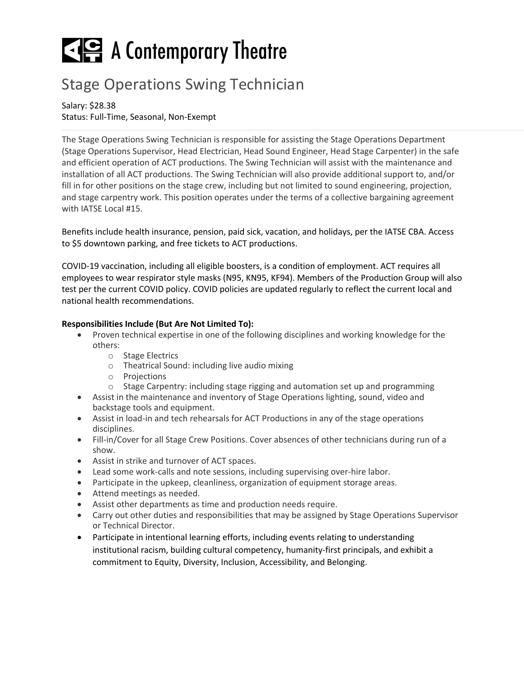# $\leq$   $\leq$  A Contemporary Theatre

# Stage Operations Swing Technician

Salary: \$28.38 Status: Full-Time, Seasonal, Non-Exempt

The Stage Operations Swing Technician is responsible for assisting the Stage Operations Department (Stage Operations Supervisor, Head Electrician, Head Sound Engineer, Head Stage Carpenter) in the safe and efficient operation of ACT productions. The Swing Technician will assist with the maintenance and installation of all ACT productions. The Swing Technician will also provide additional support to, and/or fill in for other positions on the stage crew, including but not limited to sound engineering, projection, and stage carpentry work. This position operates under the terms of a collective bargaining agreement with IATSE Local #15.

Benefits include health insurance, pension, paid sick, vacation, and holidays, per the IATSE CBA. Access to \$5 downtown parking, and free tickets to ACT productions.

COVID-19 vaccination, including all eligible boosters, is a condition of employment. ACT requires all employees to wear respirator style masks (N95, KN95, KF94). Members of the Production Group will also test per the current COVID policy. COVID policies are updated regularly to reflect the current local and national health recommendations.

# **Responsibilities Include (But Are Not Limited To):**

- Proven technical expertise in one of the following disciplines and working knowledge for the others:
	- o Stage Electrics
	- o Theatrical Sound: including live audio mixing
	- o Projections
	- $\circ$  Stage Carpentry: including stage rigging and automation set up and programming
- Assist in the maintenance and inventory of Stage Operations lighting, sound, video and backstage tools and equipment.
- Assist in load-in and tech rehearsals for ACT Productions in any of the stage operations disciplines.
- Fill-in/Cover for all Stage Crew Positions. Cover absences of other technicians during run of a show.
- Assist in strike and turnover of ACT spaces.
- Lead some work-calls and note sessions, including supervising over-hire labor.
- Participate in the upkeep, cleanliness, organization of equipment storage areas.
- Attend meetings as needed.
- Assist other departments as time and production needs require.
- Carry out other duties and responsibilities that may be assigned by Stage Operations Supervisor or Technical Director.
- Participate in intentional learning efforts, including events relating to understanding institutional racism, building cultural competency, humanity-first principals, and exhibit a commitment to Equity, Diversity, Inclusion, Accessibility, and Belonging.